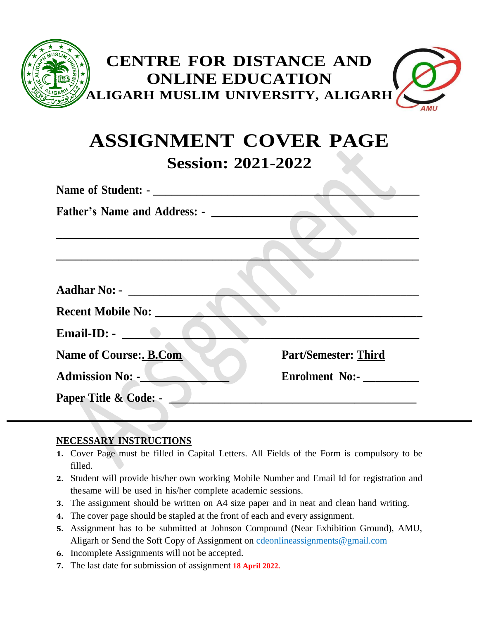

# **ASSIGNMENT COVER PAGE Session: 2021-2022**

| Name of Student: -                  |                             |
|-------------------------------------|-----------------------------|
| <b>Father's Name and Address: -</b> |                             |
|                                     |                             |
|                                     |                             |
|                                     |                             |
| <b>Aadhar No: -</b>                 |                             |
| <b>Recent Mobile No:</b>            |                             |
| Email-ID: $-$                       |                             |
| <b>Name of Course: B.Com</b>        | <b>Part/Semester: Third</b> |
| <b>Admission No: -</b>              | Enrolment No:-              |
| Paper Title & Code: -               |                             |
|                                     |                             |

### **NECESSARY INSTRUCTIONS**

- **1.** Cover Page must be filled in Capital Letters. All Fields of the Form is compulsory to be filled.
- **2.** Student will provide his/her own working Mobile Number and Email Id for registration and thesame will be used in his/her complete academic sessions.
- **3.** The assignment should be written on A4 size paper and in neat and clean hand writing.
- **4.** The cover page should be stapled at the front of each and every assignment.
- **5.** Assignment has to be submitted at Johnson Compound (Near Exhibition Ground), AMU, Aligarh or Send the Soft Copy of Assignment on [cdeonlineassignments@gmail.com](mailto:cdeonlineassignments@gmail.com)
- **6.** Incomplete Assignments will not be accepted.
- **7.** The last date for submission of assignment **18 April 2022.**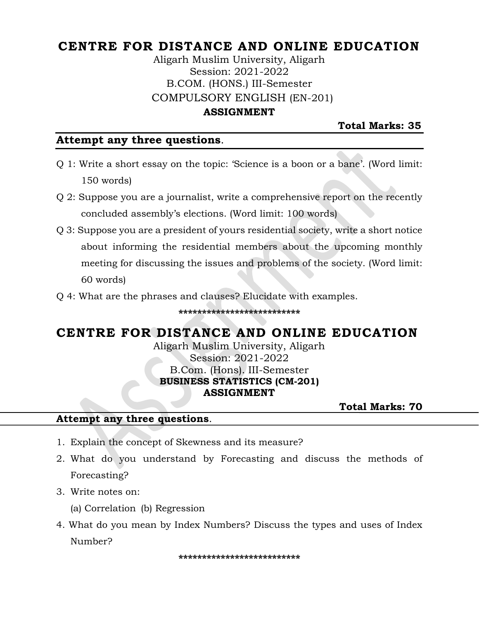# **CENTRE FOR DISTANCE AND ONLINE EDUCATION**

Aligarh Muslim University, Aligarh Session: 2021-2022 B.COM. (HONS.) III-Semester COMPULSORY ENGLISH (EN-201)

#### **ASSIGNMENT**

**Total Marks: 35**

#### **Attempt any three questions**.

- Q 1: Write a short essay on the topic: 'Science is a boon or a bane'. (Word limit: 150 words)
- Q 2: Suppose you are a journalist, write a comprehensive report on the recently concluded assembly's elections. (Word limit: 100 words)
- Q 3: Suppose you are a president of yours residential society, write a short notice about informing the residential members about the upcoming monthly meeting for discussing the issues and problems of the society. (Word limit: 60 words)
- Q 4: What are the phrases and clauses? Elucidate with examples.

#### **\*\*\*\*\*\*\*\*\*\*\*\*\*\*\*\*\*\*\*\*\*\*\*\*\*\***

# **CENTRE FOR DISTANCE AND ONLINE EDUCATION**

Aligarh Muslim University, Aligarh Session: 2021-2022 B.Com. (Hons). III-Semester **BUSINESS STATISTICS (CM-201) ASSIGNMENT**

 **Total Marks: 70** 

#### **Attempt any three questions**.

- 1. Explain the concept of Skewness and its measure?
- 2. What do you understand by Forecasting and discuss the methods of Forecasting?
- 3. Write notes on:
	- (a) Correlation (b) Regression
- 4. What do you mean by Index Numbers? Discuss the types and uses of Index Number?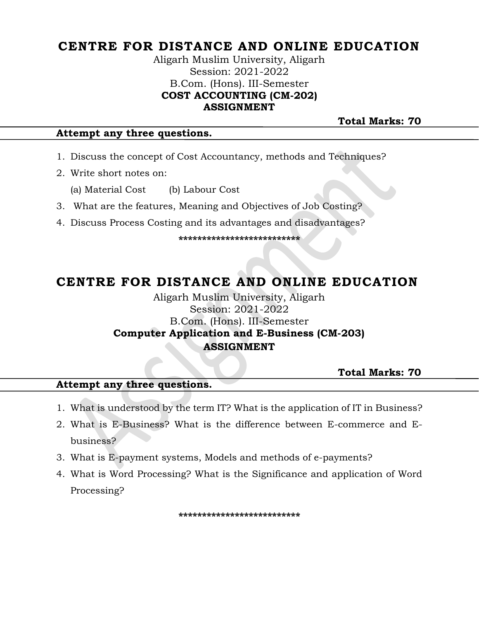# **CENTRE FOR DISTANCE AND ONLINE EDUCATION**

Aligarh Muslim University, Aligarh Session: 2021-2022 B.Com. (Hons). III-Semester **COST ACCOUNTING (CM-202) ASSIGNMENT**

**Total Marks: 70** 

#### **Attempt any three questions.**

- 1. Discuss the concept of Cost Accountancy, methods and Techniques?
- 2. Write short notes on:
	- (a) Material Cost (b) Labour Cost
- 3. What are the features, Meaning and Objectives of Job Costing?
- 4. Discuss Process Costing and its advantages and disadvantages?

**\*\*\*\*\*\*\*\*\*\*\*\*\*\*\*\*\*\*\*\*\*\*\*\*\*\***

# **CENTRE FOR DISTANCE AND ONLINE EDUCATION**

### Aligarh Muslim University, Aligarh Session: 2021-2022 B.Com. (Hons). III-Semester **Computer Application and E-Business (CM-203) ASSIGNMENT**

 **Total Marks: 70** 

#### **Attempt any three questions.**

- 1. What is understood by the term IT? What is the application of IT in Business?
- 2. What is E-Business? What is the difference between E-commerce and Ebusiness?
- 3. What is E-payment systems, Models and methods of e-payments?
- 4. What is Word Processing? What is the Significance and application of Word Processing?

**\*\*\*\*\*\*\*\*\*\*\*\*\*\*\*\*\*\*\*\*\*\*\*\*\*\***